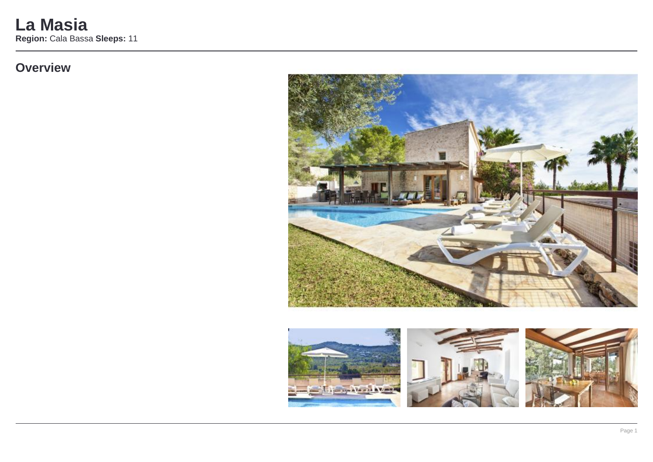# **Overview**



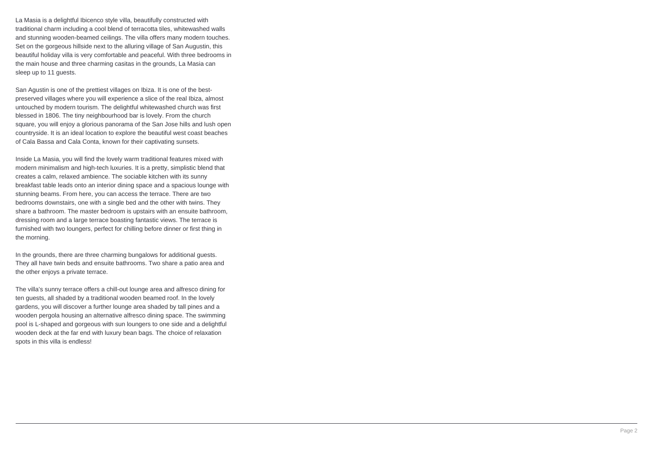La Masia is a delightful Ibicenco style villa, beautifully constructed with traditional charm including a cool blend of terracotta tiles, whitewashed walls and stunning wooden-beamed ceilings. The villa offers many modern touches. Set on the gorgeous hillside next to the alluring village of San Augustin, this beautiful holiday villa is very comfortable and peaceful. With three bedrooms in the main house and three charming casitas in the grounds, La Masia can sleep up to 11 guests.

San Agustin is one of the prettiest villages on Ibiza. It is one of the bestpreserved villages where you will experience a slice of the real Ibiza, almost untouched by modern tourism. The delightful whitewashed church was first blessed in 1806. The tiny neighbourhood bar is lovely. From the church square, you will enjoy a glorious panorama of the San Jose hills and lush open countryside. It is an ideal location to explore the beautiful west coast beaches of Cala Bassa and Cala Conta, known for their captivating sunsets.

Inside La Masia, you will find the lovely warm traditional features mixed with modern minimalism and high-tech luxuries. It is a pretty, simplistic blend that creates a calm, relaxed ambience. The sociable kitchen with its sunny breakfast table leads onto an interior dining space and a spacious lounge with stunning beams. From here, you can access the terrace. There are two bedrooms downstairs, one with a single bed and the other with twins. They share a bathroom. The master bedroom is upstairs with an ensuite bathroom, dressing room and a large terrace boasting fantastic views. The terrace is furnished with two loungers, perfect for chilling before dinner or first thing in the morning.

In the grounds, there are three charming bungalows for additional guests. They all have twin beds and ensuite bathrooms. Two share a patio area and the other enjoys a private terrace.

The villa's sunny terrace offers a chill-out lounge area and alfresco dining for ten guests, all shaded by a traditional wooden beamed roof. In the lovely gardens, you will discover a further lounge area shaded by tall pines and a wooden pergola housing an alternative alfresco dining space. The swimming pool is L-shaped and gorgeous with sun loungers to one side and a delightful wooden deck at the far end with luxury bean bags. The choice of relaxation spots in this villa is endless!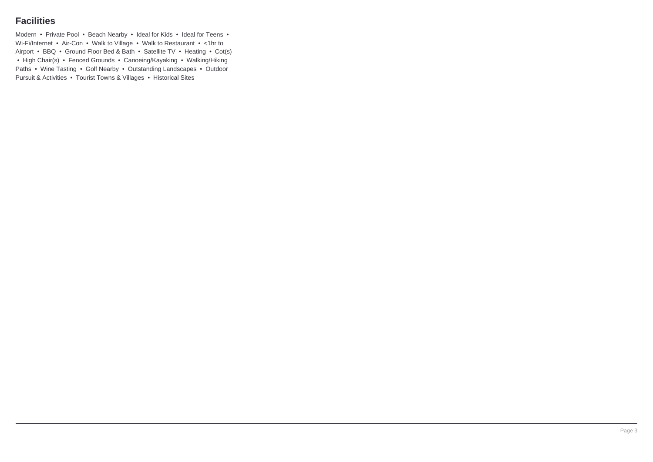### **Facilities**

Modern • Private Pool • Beach Nearby • Ideal for Kids • Ideal for Teens • Wi-Fi/Internet • Air-Con • Walk to Village • Walk to Restaurant • <1hr to Airport • BBQ • Ground Floor Bed & Bath • Satellite TV • Heating • Cot(s) • High Chair(s) • Fenced Grounds • Canoeing/Kayaking • Walking/Hiking Paths • Wine Tasting • Golf Nearby • Outstanding Landscapes • Outdoor Pursuit & Activities • Tourist Towns & Villages • Historical Sites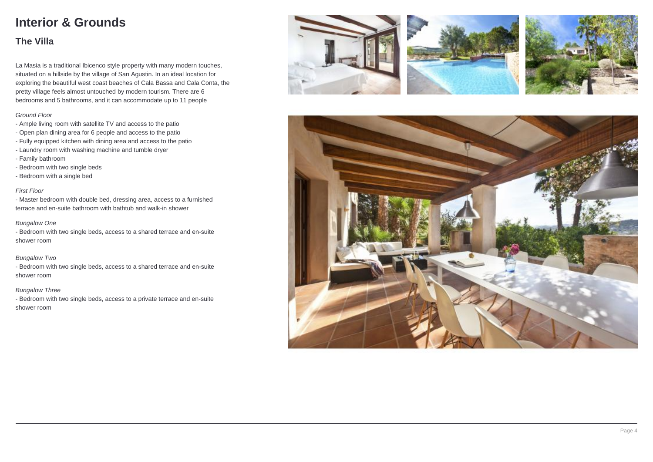# **Interior & Grounds**

### **The Villa**

La Masia is a traditional Ibicenco style property with many modern touches, situated on a hillside by the village of San Agustin. In an ideal location for exploring the beautiful west coast beaches of Cala Bassa and Cala Conta, the pretty village feels almost untouched by modern tourism. There are 6 bedrooms and 5 bathrooms, and it can accommodate up to 11 people

#### Ground Floor

- Ample living room with satellite TV and access to the patio
- Open plan dining area for 6 people and access to the patio
- Fully equipped kitchen with dining area and access to the patio
- Laundry room with washing machine and tumble dryer
- Family bathroom
- Bedroom with two single beds
- Bedroom with a single bed

#### First Floor

- Master bedroom with double bed, dressing area, access to a furnished terrace and en-suite bathroom with bathtub and walk-in shower

#### Bungalow One

- Bedroom with two single beds, access to a shared terrace and en-suite shower room

### Bungalow Two

- Bedroom with two single beds, access to a shared terrace and en-suite shower room

#### Bungalow Three

- Bedroom with two single beds, access to a private terrace and en-suite shower room







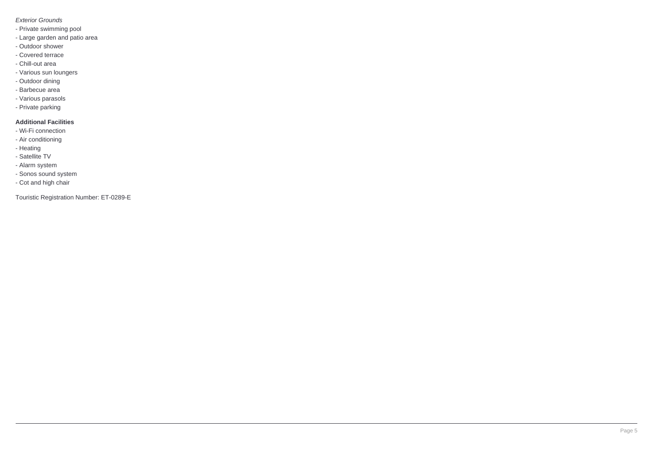### Exterior Grounds

- Private swimming pool
- Large garden and patio area
- Outdoor shower
- Covered terrace
- Chill-out area
- Various sun loungers
- Outdoor dining
- Barbecue area
- Various parasols
- Private parking

### **Additional Facilities**

- Wi-Fi connection
- Air conditioning
- Heating
- Satellite TV
- Alarm system
- Sonos sound system
- Cot and high chair

Touristic Registration Number: ET-0289-E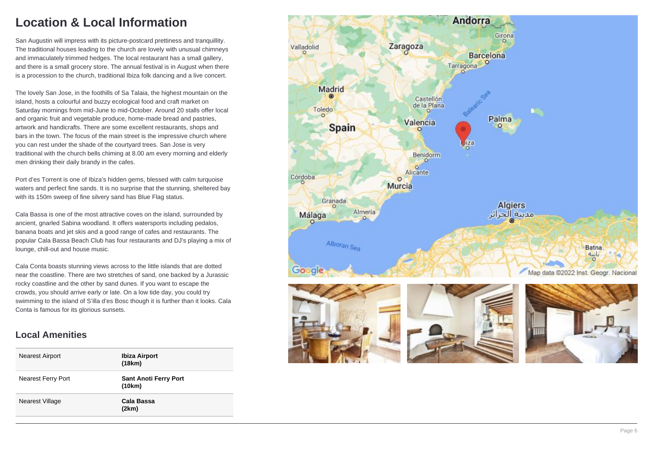## **Location & Local Information**

San Augustin will impress with its picture-postcard prettiness and tranquillity. The traditional houses leading to the church are lovely with unusual chimneys and immaculately trimmed hedges. The local restaurant has a small gallery, and there is a small grocery store. The annual festival is in August when there is a procession to the church, traditional Ibiza folk dancing and a live concert.

The lovely San Jose, in the foothills of Sa Talaia, the highest mountain on the island, hosts a colourful and buzzy ecological food and craft market on Saturday mornings from mid-June to mid-October. Around 20 stalls offer local and organic fruit and vegetable produce, home-made bread and pastries, artwork and handicrafts. There are some excellent restaurants, shops and bars in the town. The focus of the main street is the impressive church where you can rest under the shade of the courtyard trees. San Jose is very traditional with the church bells chiming at 8.00 am every morning and elderly men drinking their daily brandy in the cafes.

Port d'es Torrent is one of Ibiza's hidden gems, blessed with calm turquoise waters and perfect fine sands. It is no surprise that the stunning, sheltered bay with its 150m sweep of fine silvery sand has Blue Flag status.

Cala Bassa is one of the most attractive coves on the island, surrounded by ancient, gnarled Sabina woodland. It offers watersports including pedalos, banana boats and jet skis and a good range of cafes and restaurants. The popular Cala Bassa Beach Club has four restaurants and DJ's playing a mix of lounge, chill-out and house music.

Cala Conta boasts stunning views across to the little islands that are dotted near the coastline. There are two stretches of sand, one backed by a Jurassic rocky coastline and the other by sand dunes. If you want to escape the crowds, you should arrive early or late. On a low tide day, you could try swimming to the island of S'illa d'es Bosc though it is further than it looks. Cala Conta is famous for its glorious sunsets.

### **Local Amenities**

| <b>Nearest Airport</b> | <b>Ibiza Airport</b><br>(18km)         |
|------------------------|----------------------------------------|
| Nearest Ferry Port     | <b>Sant Anoti Ferry Port</b><br>(10km) |
| Nearest Village        | Cala Bassa<br>(2km)                    |







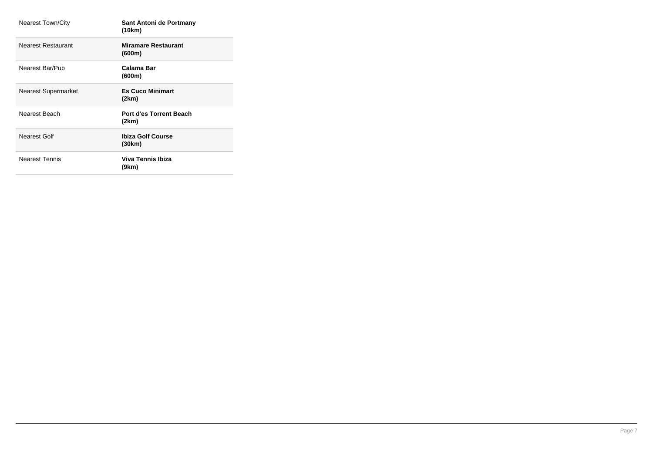| <b>Nearest Town/City</b> | Sant Antoni de Portmany<br>(10km)       |
|--------------------------|-----------------------------------------|
| Nearest Restaurant       | <b>Miramare Restaurant</b><br>(600m)    |
| Nearest Bar/Pub          | Calama Bar<br>(600m)                    |
| Nearest Supermarket      | <b>Es Cuco Minimart</b><br>(2km)        |
| Nearest Beach            | <b>Port d'es Torrent Beach</b><br>(2km) |
| Nearest Golf             | <b>Ibiza Golf Course</b><br>(30km)      |
| <b>Nearest Tennis</b>    | Viva Tennis Ibiza<br>(9km)              |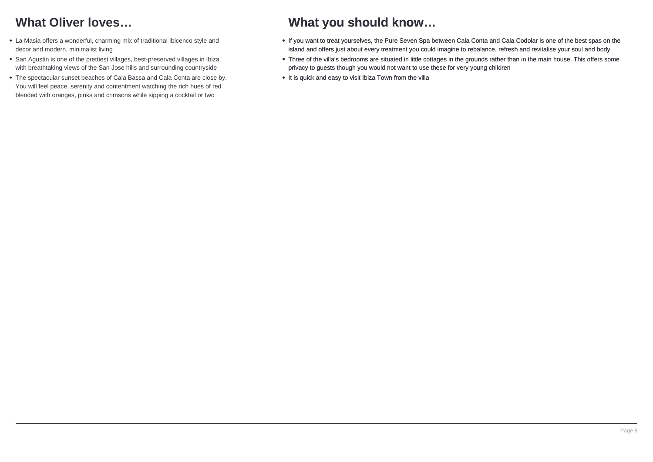## **What Oliver loves…**

- La Masia offers a wonderful, charming mix of traditional Ibicenco style and decor and modern, minimalist living
- San Agustin is one of the prettiest villages, best-preserved villages in Ibiza with breathtaking views of the San Jose hills and surrounding countryside
- The spectacular sunset beaches of Cala Bassa and Cala Conta are close by. You will feel peace, serenity and contentment watching the rich hues of red blended with oranges, pinks and crimsons while sipping a cocktail or two

## **What you should know…**

- If you want to treat yourselves, the Pure Seven Spa between Cala Conta and Cala Codolar is one of the best spas on the island and offers just about every treatment you could imagine to rebalance, refresh and revitalise your soul and body
- Three of the villa's bedrooms are situated in little cottages in the grounds rather than in the main house. This offers some privacy to guests though you would not want to use these for very young children
- It is quick and easy to visit Ibiza Town from the villa